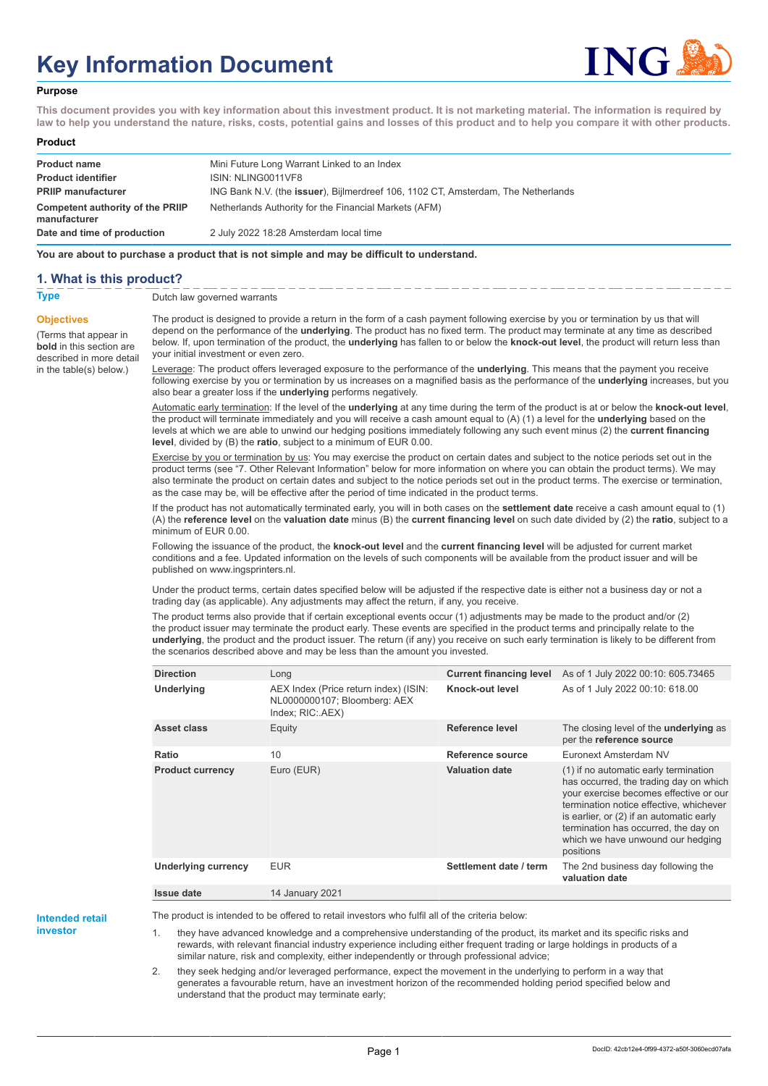# **Key Information Document**



#### **Purpose**

**This document provides you with key information about this investment product. It is not marketing material. The information is required by law to help you understand the nature, risks, costs, potential gains and losses of this product and to help you compare it with other products.**

#### **Product**

| <b>Product name</b>                              | Mini Future Long Warrant Linked to an Index                                       |
|--------------------------------------------------|-----------------------------------------------------------------------------------|
| <b>Product identifier</b>                        | ISIN: NLING0011VF8                                                                |
| <b>PRIIP manufacturer</b>                        | ING Bank N.V. (the issuer), Bijlmerdreef 106, 1102 CT, Amsterdam, The Netherlands |
| Competent authority of the PRIIP<br>manufacturer | Netherlands Authority for the Financial Markets (AFM)                             |
| Date and time of production                      | 2 July 2022 18:28 Amsterdam local time                                            |

**You are about to purchase a product that is not simple and may be difficult to understand.**

### **1. What is this product?**

**Objectives**

(Terms that appear in **bold** in this section are

in the table(s) below.)

## **Type** Dutch law governed warrants

described in more detail The product is designed to provide a return in the form of a cash payment following exercise by you or termination by us that will depend on the performance of the **underlying**. The product has no fixed term. The product may terminate at any time as described below. If, upon termination of the product, the **underlying** has fallen to or below the **knock-out level**, the product will return less than your initial investment or even zero.

> Leverage: The product offers leveraged exposure to the performance of the **underlying**. This means that the payment you receive following exercise by you or termination by us increases on a magnified basis as the performance of the **underlying** increases, but you also bear a greater loss if the **underlying** performs negatively.

> Automatic early termination: If the level of the **underlying** at any time during the term of the product is at or below the **knock-out level**, the product will terminate immediately and you will receive a cash amount equal to (A) (1) a level for the **underlying** based on the levels at which we are able to unwind our hedging positions immediately following any such event minus (2) the **current financing level**, divided by (B) the **ratio**, subject to a minimum of EUR 0.00.

> Exercise by you or termination by us: You may exercise the product on certain dates and subject to the notice periods set out in the product terms (see "7. Other Relevant Information" below for more information on where you can obtain the product terms). We may also terminate the product on certain dates and subject to the notice periods set out in the product terms. The exercise or termination, as the case may be, will be effective after the period of time indicated in the product terms.

> If the product has not automatically terminated early, you will in both cases on the **settlement date** receive a cash amount equal to (1) (A) the **reference level** on the **valuation date** minus (B) the **current financing level** on such date divided by (2) the **ratio**, subject to a minimum of EUR 0.00.

Following the issuance of the product, the **knock-out level** and the **current financing level** will be adjusted for current market conditions and a fee. Updated information on the levels of such components will be available from the product issuer and will be published on www.ingsprinters.nl.

Under the product terms, certain dates specified below will be adjusted if the respective date is either not a business day or not a trading day (as applicable). Any adjustments may affect the return, if any, you receive.

The product terms also provide that if certain exceptional events occur (1) adjustments may be made to the product and/or (2) the product issuer may terminate the product early. These events are specified in the product terms and principally relate to the **underlying**, the product and the product issuer. The return (if any) you receive on such early termination is likely to be different from the scenarios described above and may be less than the amount you invested.

| <b>Direction</b>        | Long                                                                                      | <b>Current financing level</b> | As of 1 July 2022 00:10: 605.73465                                                                                                                                                                                                                                                                         |
|-------------------------|-------------------------------------------------------------------------------------------|--------------------------------|------------------------------------------------------------------------------------------------------------------------------------------------------------------------------------------------------------------------------------------------------------------------------------------------------------|
| Underlying              | AEX Index (Price return index) (ISIN:<br>NL0000000107; Bloomberg: AEX<br>Index; RIC: AEX) | Knock-out level                | As of 1 July 2022 00:10: 618.00                                                                                                                                                                                                                                                                            |
| Asset class             | Equity                                                                                    | Reference level                | The closing level of the <b>underlying</b> as<br>per the reference source                                                                                                                                                                                                                                  |
| Ratio                   | 10                                                                                        | Reference source               | Euronext Amsterdam NV                                                                                                                                                                                                                                                                                      |
| <b>Product currency</b> | Euro (EUR)                                                                                | <b>Valuation date</b>          | (1) if no automatic early termination<br>has occurred, the trading day on which<br>your exercise becomes effective or our<br>termination notice effective, whichever<br>is earlier, or (2) if an automatic early<br>termination has occurred, the day on<br>which we have unwound our hedging<br>positions |
| Underlying currency     | <b>EUR</b>                                                                                | Settlement date / term         | The 2nd business day following the<br>valuation date                                                                                                                                                                                                                                                       |
| <b>Issue date</b>       | <b>14 January 2021</b>                                                                    |                                |                                                                                                                                                                                                                                                                                                            |

**Intended retail investor**

The product is intended to be offered to retail investors who fulfil all of the criteria below:

they have advanced knowledge and a comprehensive understanding of the product, its market and its specific risks and rewards, with relevant financial industry experience including either frequent trading or large holdings in products of a similar nature, risk and complexity, either independently or through professional advice;

2. they seek hedging and/or leveraged performance, expect the movement in the underlying to perform in a way that generates a favourable return, have an investment horizon of the recommended holding period specified below and understand that the product may terminate early;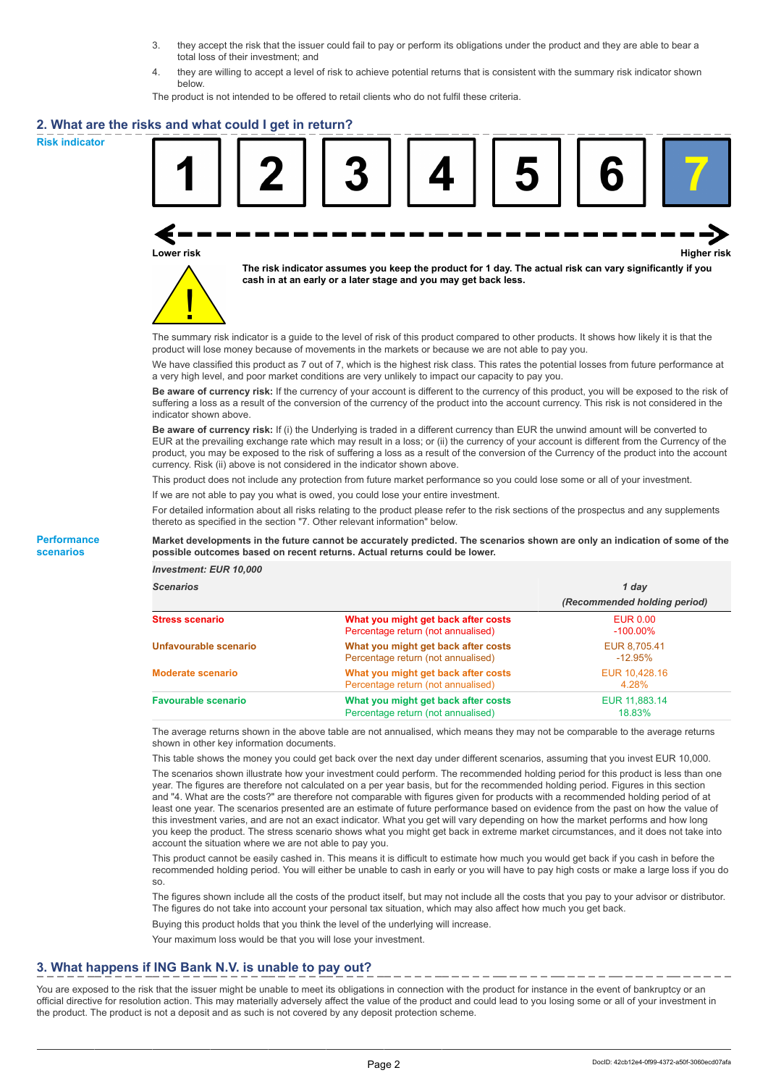- 3. they accept the risk that the issuer could fail to pay or perform its obligations under the product and they are able to bear a total loss of their investment; and
- 4. they are willing to accept a level of risk to achieve potential returns that is consistent with the summary risk indicator shown below.

The product is not intended to be offered to retail clients who do not fulfil these criteria.

### **2. What are the risks and what could I get in return?**

**Risk indicator**

**Performance scenarios**





**The risk indicator assumes you keep the product for 1 day. The actual risk can vary significantly if you cash in at an early or a later stage and you may get back less.**

The summary risk indicator is a guide to the level of risk of this product compared to other products. It shows how likely it is that the product will lose money because of movements in the markets or because we are not able to pay you.

We have classified this product as 7 out of 7, which is the highest risk class. This rates the potential losses from future performance at a very high level, and poor market conditions are very unlikely to impact our capacity to pay you.

**Be aware of currency risk:** If the currency of your account is different to the currency of this product, you will be exposed to the risk of suffering a loss as a result of the conversion of the currency of the product into the account currency. This risk is not considered in the indicator shown above.

**Be aware of currency risk:** If (i) the Underlying is traded in a different currency than EUR the unwind amount will be converted to EUR at the prevailing exchange rate which may result in a loss; or (ii) the currency of your account is different from the Currency of the product, you may be exposed to the risk of suffering a loss as a result of the conversion of the Currency of the product into the account currency. Risk (ii) above is not considered in the indicator shown above.

This product does not include any protection from future market performance so you could lose some or all of your investment.

If we are not able to pay you what is owed, you could lose your entire investment.

For detailed information about all risks relating to the product please refer to the risk sections of the prospectus and any supplements thereto as specified in the section "7. Other relevant information" below.

#### **Market developments in the future cannot be accurately predicted. The scenarios shown are only an indication of some of the possible outcomes based on recent returns. Actual returns could be lower.**

*Investment: EUR 10,000*

| <b>Scenarios</b>           |                                                                           | 1 dav<br>(Recommended holding period) |  |
|----------------------------|---------------------------------------------------------------------------|---------------------------------------|--|
|                            |                                                                           |                                       |  |
| <b>Stress scenario</b>     | What you might get back after costs<br>Percentage return (not annualised) | <b>EUR 0.00</b><br>$-100.00\%$        |  |
| Unfavourable scenario      | What you might get back after costs<br>Percentage return (not annualised) | EUR 8,705.41<br>$-12.95\%$            |  |
| <b>Moderate scenario</b>   | What you might get back after costs<br>Percentage return (not annualised) | EUR 10,428.16<br>4.28%                |  |
| <b>Favourable scenario</b> | What you might get back after costs<br>Percentage return (not annualised) | EUR 11,883.14<br>18.83%               |  |

The average returns shown in the above table are not annualised, which means they may not be comparable to the average returns shown in other key information documents.

This table shows the money you could get back over the next day under different scenarios, assuming that you invest EUR 10,000.

The scenarios shown illustrate how your investment could perform. The recommended holding period for this product is less than one year. The figures are therefore not calculated on a per year basis, but for the recommended holding period. Figures in this section and "4. What are the costs?" are therefore not comparable with figures given for products with a recommended holding period of at least one year. The scenarios presented are an estimate of future performance based on evidence from the past on how the value of this investment varies, and are not an exact indicator. What you get will vary depending on how the market performs and how long you keep the product. The stress scenario shows what you might get back in extreme market circumstances, and it does not take into account the situation where we are not able to pay you.

This product cannot be easily cashed in. This means it is difficult to estimate how much you would get back if you cash in before the recommended holding period. You will either be unable to cash in early or you will have to pay high costs or make a large loss if you do so.

The figures shown include all the costs of the product itself, but may not include all the costs that you pay to your advisor or distributor. The figures do not take into account your personal tax situation, which may also affect how much you get back.

Buying this product holds that you think the level of the underlying will increase.

Your maximum loss would be that you will lose your investment.

## **3. What happens if ING Bank N.V. is unable to pay out?**

You are exposed to the risk that the issuer might be unable to meet its obligations in connection with the product for instance in the event of bankruptcy or an official directive for resolution action. This may materially adversely affect the value of the product and could lead to you losing some or all of your investment in the product. The product is not a deposit and as such is not covered by any deposit protection scheme.